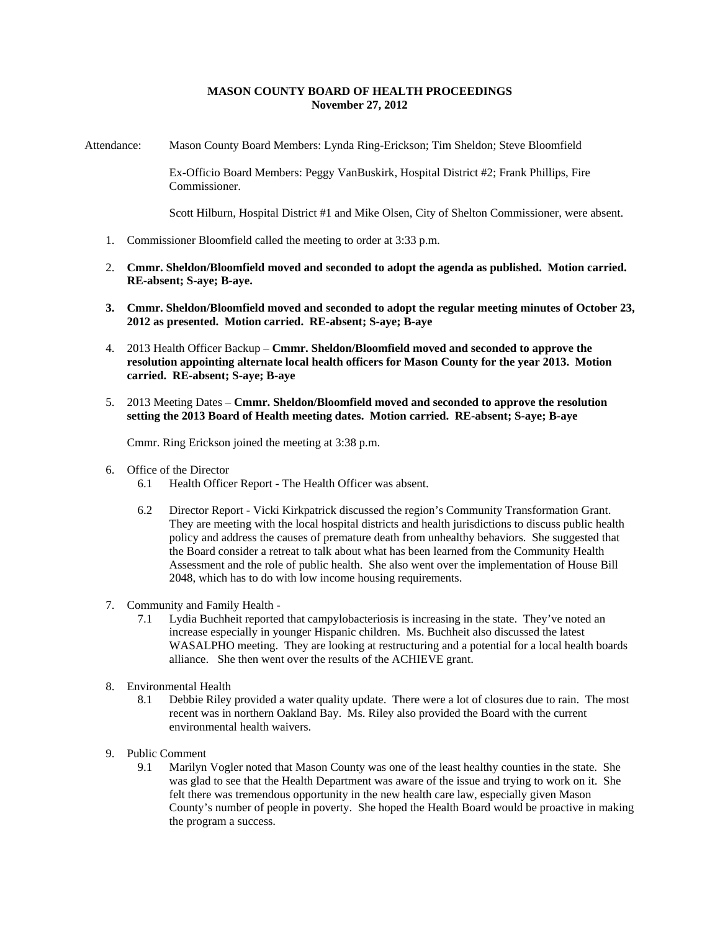## **MASON COUNTY BOARD OF HEALTH PROCEEDINGS November 27, 2012**

Attendance: Mason County Board Members: Lynda Ring-Erickson; Tim Sheldon; Steve Bloomfield

Ex-Officio Board Members: Peggy VanBuskirk, Hospital District #2; Frank Phillips, Fire Commissioner.

Scott Hilburn, Hospital District #1 and Mike Olsen, City of Shelton Commissioner, were absent.

- 1. Commissioner Bloomfield called the meeting to order at 3:33 p.m.
- 2. **Cmmr. Sheldon/Bloomfield moved and seconded to adopt the agenda as published. Motion carried. RE-absent; S-aye; B-aye.**
- **3. Cmmr. Sheldon/Bloomfield moved and seconded to adopt the regular meeting minutes of October 23, 2012 as presented. Motion carried. RE-absent; S-aye; B-aye**
- 4. 2013 Health Officer Backup **Cmmr. Sheldon/Bloomfield moved and seconded to approve the resolution appointing alternate local health officers for Mason County for the year 2013. Motion carried. RE-absent; S-aye; B-aye**
- 5. 2013 Meeting Dates – **Cmmr. Sheldon/Bloomfield moved and seconded to approve the resolution setting the 2013 Board of Health meeting dates. Motion carried. RE-absent; S-aye; B-aye**

Cmmr. Ring Erickson joined the meeting at 3:38 p.m.

- 6. Office of the Director
	- 6.1 Health Officer Report The Health Officer was absent.
	- 6.2 Director Report Vicki Kirkpatrick discussed the region's Community Transformation Grant. They are meeting with the local hospital districts and health jurisdictions to discuss public health policy and address the causes of premature death from unhealthy behaviors. She suggested that the Board consider a retreat to talk about what has been learned from the Community Health Assessment and the role of public health. She also went over the implementation of House Bill 2048, which has to do with low income housing requirements.
- 7. Community and Family Health
	- 7.1 Lydia Buchheit reported that campylobacteriosis is increasing in the state. They've noted an increase especially in younger Hispanic children. Ms. Buchheit also discussed the latest WASALPHO meeting. They are looking at restructuring and a potential for a local health boards alliance. She then went over the results of the ACHIEVE grant.
- 8. Environmental Health
	- 8.1 Debbie Riley provided a water quality update. There were a lot of closures due to rain. The most recent was in northern Oakland Bay. Ms. Riley also provided the Board with the current environmental health waivers.
- 9. Public Comment
	- 9.1 Marilyn Vogler noted that Mason County was one of the least healthy counties in the state. She was glad to see that the Health Department was aware of the issue and trying to work on it. She felt there was tremendous opportunity in the new health care law, especially given Mason County's number of people in poverty. She hoped the Health Board would be proactive in making the program a success.